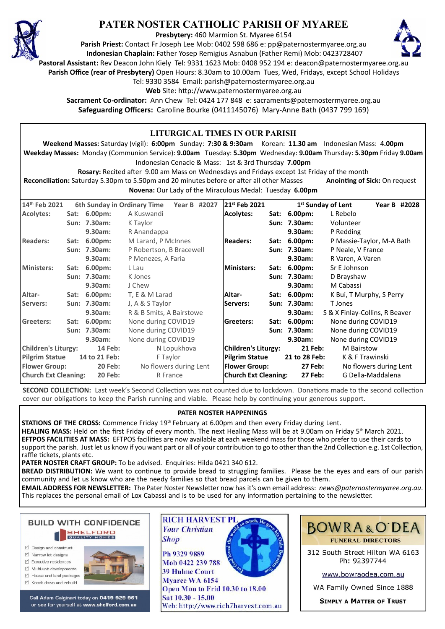

## **PATER NOSTER CATHOLIC PARISH OF MYAREE**

**Presbytery:** 460 Marmion St. Myaree 6154

**Parish Priest:** Contact Fr Joseph Lee Mob: 0402 598 686 e: pp@paternostermyaree.org.au **Indonesian Chaplain:** Father Yosep Remigius Asnabun (Father Remi) Mob: 0423728407



**Pastoral Assistant:** Rev Deacon John Kiely Tel: 9331 1623 Mob: 0408 952 194 e: deacon@paternostermyaree.org.au

**Parish Office (rear of Presbytery)** Open Hours: 8.30am to 10.00am Tues, Wed, Fridays, except School Holidays

Tel: 9330 3584 Email: parish@paternostermyaree.org.au

Web Site: http://www.paternostermyaree.org.au

**Sacrament Co-ordinator:** Ann Chew Tel: 0424 177 848 e: sacraments@paternostermyaree.org.au **Safeguarding Officers:** Caroline Bourke (0411145076) Mary-Anne Bath (0437 799 169)

| LITURGICAL TIMES IN OUR PARISH<br>Weekend Masses: Saturday (vigil): 6:00pm Sunday: 7:30 & 9:30am Korean: 11.30 am Indonesian Mass: 4.00pm<br>Weekday Masses: Monday (Communion Service): 9.00am Tuesday: 5.30pm Wednesday: 9.00am Thursday: 5.30pm Friday 9.00am<br>Indonesian Cenacle & Mass: 1st & 3rd Thursday 7.00pm<br>Rosary: Recited after 9.00 am Mass on Wednesdays and Fridays except 1st Friday of the month<br>Reconciliation: Saturday 5.30pm to 5.50pm and 20 minutes before or after all other Masses<br><b>Anointing of Sick: On request</b><br>Novena: Our Lady of the Miraculous Medal: Tuesday 6.00pm |  |                             |                          |                       |                             |                                           |                              |                                |                        |
|--------------------------------------------------------------------------------------------------------------------------------------------------------------------------------------------------------------------------------------------------------------------------------------------------------------------------------------------------------------------------------------------------------------------------------------------------------------------------------------------------------------------------------------------------------------------------------------------------------------------------|--|-----------------------------|--------------------------|-----------------------|-----------------------------|-------------------------------------------|------------------------------|--------------------------------|------------------------|
| 14th Feb 2021                                                                                                                                                                                                                                                                                                                                                                                                                                                                                                                                                                                                            |  | 6th Sunday in Ordinary Time |                          | Year B #2027          | 21st Feb 2021               |                                           |                              | 1 <sup>st</sup> Sunday of Lent | Year B #2028           |
| Acolytes:                                                                                                                                                                                                                                                                                                                                                                                                                                                                                                                                                                                                                |  | Sat: 6.00pm:                | A Kuswandi               |                       | <b>Acolytes:</b>            |                                           | Sat: 6.00pm:                 | L Rebelo                       |                        |
|                                                                                                                                                                                                                                                                                                                                                                                                                                                                                                                                                                                                                          |  | Sun: 7.30am:                | K Taylor                 |                       |                             |                                           | Sun: 7.30am:                 | Volunteer                      |                        |
|                                                                                                                                                                                                                                                                                                                                                                                                                                                                                                                                                                                                                          |  | 9.30am:                     | R Anandappa              |                       |                             |                                           | 9.30am:                      | P Redding                      |                        |
| Readers:                                                                                                                                                                                                                                                                                                                                                                                                                                                                                                                                                                                                                 |  | Sat: 6.00pm:                | M Larard, P McInnes      |                       | <b>Readers:</b>             | Sat: 6.00pm:<br>P Massie-Taylor, M-A Bath |                              |                                |                        |
|                                                                                                                                                                                                                                                                                                                                                                                                                                                                                                                                                                                                                          |  | Sun: 7.30am:                | P Robertson, B Bracewell |                       |                             |                                           | Sun: 7.30am:                 | P Neale, V France              |                        |
|                                                                                                                                                                                                                                                                                                                                                                                                                                                                                                                                                                                                                          |  | 9.30am:                     | P Menezes, A Faria       |                       |                             |                                           | 9.30am:                      | R Varen, A Varen               |                        |
| Ministers:                                                                                                                                                                                                                                                                                                                                                                                                                                                                                                                                                                                                               |  | Sat: 6.00pm:                | L Lau                    |                       | <b>Ministers:</b>           |                                           | Sat: 6.00pm:<br>Sr E Johnson |                                |                        |
|                                                                                                                                                                                                                                                                                                                                                                                                                                                                                                                                                                                                                          |  | Sun: 7.30am:                | K Jones                  |                       |                             |                                           | Sun: 7.30am:                 | D Brayshaw                     |                        |
|                                                                                                                                                                                                                                                                                                                                                                                                                                                                                                                                                                                                                          |  | 9.30am:                     | J Chew                   |                       |                             |                                           | 9.30am:                      | M Cabassi                      |                        |
| Altar-                                                                                                                                                                                                                                                                                                                                                                                                                                                                                                                                                                                                                   |  | Sat: 6.00pm:                | T, E & M Larad           |                       | Altar-                      |                                           | Sat: 6.00pm:                 | K Bui, T Murphy, S Perry       |                        |
| Servers:                                                                                                                                                                                                                                                                                                                                                                                                                                                                                                                                                                                                                 |  | Sun: 7.30am:                | J, A & S Taylor          | Servers:              |                             | Sun: 7.30am:                              | T Jones                      |                                |                        |
|                                                                                                                                                                                                                                                                                                                                                                                                                                                                                                                                                                                                                          |  | 9.30am:                     | R & B Smits, A Bairstowe |                       |                             |                                           | 9.30am:                      | S & X Finlay-Collins, R Beaver |                        |
| <b>Greeters:</b>                                                                                                                                                                                                                                                                                                                                                                                                                                                                                                                                                                                                         |  | Sat: 6.00pm:                | None during COVID19      |                       | Greeters:                   |                                           | Sat: 6.00pm:                 | None during COVID19            |                        |
|                                                                                                                                                                                                                                                                                                                                                                                                                                                                                                                                                                                                                          |  | Sun: 7.30am:                | None during COVID19      |                       |                             |                                           | Sun: 7.30am:                 | None during COVID19            |                        |
|                                                                                                                                                                                                                                                                                                                                                                                                                                                                                                                                                                                                                          |  | 9.30am:                     | None during COVID19      |                       |                             |                                           | 9.30am:                      | None during COVID19            |                        |
| <b>Children's Liturgy:</b><br><b>14 Feb:</b>                                                                                                                                                                                                                                                                                                                                                                                                                                                                                                                                                                             |  |                             | N Lopukhova              |                       | <b>Children's Liturgy:</b>  |                                           | 21 Feb:                      | <b>M</b> Bairstow              |                        |
| <b>Pilgrim Statue</b><br>14 to 21 Feb:                                                                                                                                                                                                                                                                                                                                                                                                                                                                                                                                                                                   |  | F Taylor                    |                          | <b>Pilgrim Statue</b> |                             | 21 to 28 Feb:                             | K & F Trawinski              |                                |                        |
| <b>Flower Group:</b><br><b>20 Feb:</b>                                                                                                                                                                                                                                                                                                                                                                                                                                                                                                                                                                                   |  |                             | No flowers during Lent   |                       | <b>Flower Group:</b>        |                                           | 27 Feb:                      |                                | No flowers during Lent |
| <b>Church Ext Cleaning:</b><br><b>20 Feb:</b>                                                                                                                                                                                                                                                                                                                                                                                                                                                                                                                                                                            |  |                             | R France                 |                       | <b>Church Ext Cleaning:</b> |                                           | <b>27 Feb:</b>               |                                | G Della-Maddalena      |

**SECOND COLLECTION:** Last week's Second Collection was not counted due to lockdown. Donations made to the second collection cover our obligations to keep the Parish running and viable. Please help by continuing your generous support.

## **PATER NOSTER HAPPENINGS**

**STATIONS OF THE CROSS:** Commence Friday 19th February at 6.00pm and then every Friday during Lent.

**Shop** 

**HEALING MASS:** Held on the first Friday of every month. The next Healing Mass will be at 9.00am on Friday 5th March 2021. **EFTPOS FACILITIES AT MASS:** EFTPOS facili�es are now available at each weekend mass for those who prefer to use their cards to support the parish. Just let us know if you want part or all of your contribution to go to other than the 2nd Collection e.g. 1st Collection, raffle tickets, plants etc.

PATER NOSTER CRAFT GROUP: To be advised. Enquiries: Hilda 0421 340 612.

**BREAD DISTRIBUTION:** We want to continue to provide bread to struggling families. Please be the eyes and ears of our parish community and let us know who are the needy families so that bread parcels can be given to them.

**EMAIL ADDRESS FOR NEWSLETTER:** The Pater Noster Newsle�er now has it's own email address: *news@paternostermyaree.org.au*. This replaces the personal email of Lox Cabassi and is to be used for any information pertaining to the newsletter.



- □ Design and construct
- □ Narrow lot designs
- $\triangledown$  Executive residences
- Multi-unit developments
- $\forall$  House and land packages ☑ Knock down and rebuild



Call Adam Calginari today on 0419 929 961 or see for yourself at www.shelford.com.au



Ph 9329 9889 Mob 0422 239 788 **39 Hulme Court** Myaree WA 6154 Open Mon to Frid 10.30 to 18.00 Sat 10.30 - 15.00 Web: http://www.rich7harvest.com.au



**BOWRA&O'DEA FUNERAL DIRECTORS** 

312 South Street Hilton WA 6163 Ph: 92397744

www.bowraodea.com.au

WA Family Owned Since 1888

**SIMPLY A MATTER OF TRUST**